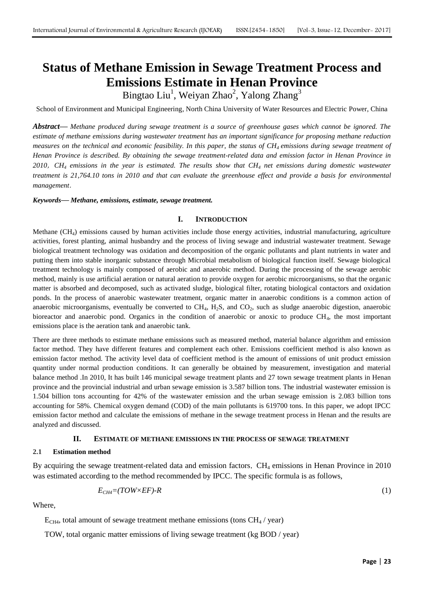# **Status of Methane Emission in Sewage Treatment Process and Emissions Estimate in Henan Province**

Bingtao Liu<sup>1</sup>, Weiyan Zhao<sup>2</sup>, Yalong Zhang<sup>3</sup>

School of Environment and Municipal Engineering, North China University of Water Resources and Electric Power, China

*Abstract***—** *Methane produced during sewage treatment is a source of greenhouse gases which cannot be ignored. The estimate of methane emissions during wastewater treatment has an important significance for proposing methane reduction measures on the technical and economic feasibility. In this paper, the status of CH4 emissions during sewage treatment of Henan Province is described. By obtaining the sewage treatment-related data and emission factor in Henan Province in 2010*,*CH<sup>4</sup> emissions in the year is estimated. The results show that CH<sup>4</sup> net emissions during domestic wastewater treatment is 21,764.10 tons in 2010 and that can evaluate the greenhouse effect and provide a basis for environmental management*.

*Keywords***—** *Methane, emissions, estimate, sewage treatment.*

#### **I. INTRODUCTION**

Methane  $(CH<sub>4</sub>)$  emissions caused by human activities include those energy activities, industrial manufacturing, agriculture activities, forest planting, animal husbandry and the process of living sewage and industrial wastewater treatment. Sewage biological treatment technology was oxidation and decomposition of the organic pollutants and plant nutrients in water and putting them into stable inorganic substance through Microbial metabolism of biological function itself. Sewage biological treatment technology is mainly composed of aerobic and anaerobic method. During the processing of the sewage aerobic method, mainly is use artificial aeration or natural aeration to provide oxygen for aerobic microorganisms, so that the organic matter is absorbed and decomposed, such as activated sludge, biological filter, rotating biological contactors and oxidation ponds. In the process of anaerobic wastewater treatment, organic matter in anaerobic conditions is a common action of anaerobic microorganisms, eventually be converted to  $CH_4$ ,  $H_2S$ , and  $CO_2$ , such as sludge anaerobic digestion, anaerobic bioreactor and anaerobic pond. Organics in the condition of anaerobic or anoxic to produce CH4, the most important emissions place is the aeration tank and anaerobic tank.

There are three methods to estimate methane emissions such as measured method, material balance algorithm and emission factor method. They have different features and complement each other. Emissions coefficient method is also known as emission factor method. The activity level data of coefficient method is the amount of emissions of unit product emission quantity under normal production conditions. It can generally be obtained by measurement, investigation and material balance method .In 2010, It has built 146 municipal sewage treatment plants and 27 town sewage treatment plants in Henan province and the provincial industrial and urban sewage emission is 3.587 billion tons. The industrial wastewater emission is 1.504 billion tons accounting for 42% of the wastewater emission and the urban sewage emission is 2.083 billion tons accounting for 58%. Chemical oxygen demand (COD) of the main pollutants is 619700 tons. In this paper, we adopt IPCC emission factor method and calculate the emissions of methane in the sewage treatment process in Henan and the results are analyzed and discussed.

# **II. ESTIMATE OF METHANE EMISSIONS IN THE PROCESS OF SEWAGE TREATMENT**

## **2.1 Estimation method**

By acquiring the sewage treatment-related data and emission factors, CH<sub>4</sub> emissions in Henan Province in 2010 was estimated according to the method recommended by IPCC. The specific formula is as follows,

$$
E_{CH4} = (TOW \times EF) - R \tag{1}
$$

Where,

 $E<sub>CH4</sub>$ , total amount of sewage treatment methane emissions (tons  $CH<sub>4</sub>$  / year)

TOW, total organic matter emissions of living sewage treatment (kg BOD / year)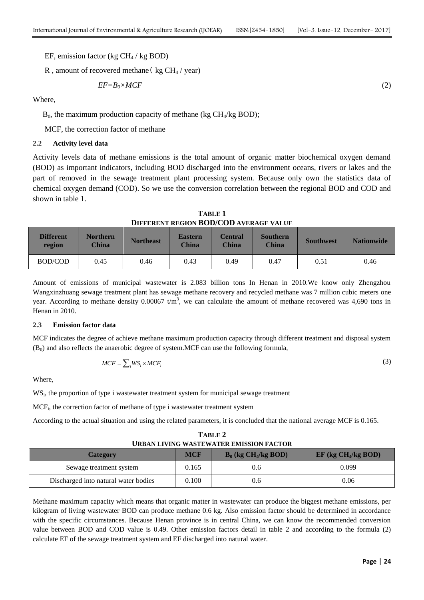EF, emission factor (kg  $CH<sub>4</sub>$  / kg BOD)

R, amount of recovered methane ( $kg CH_4$  / year)

$$
EF = B_0 \times MCF \tag{2}
$$

Where,

 $B_0$ , the maximum production capacity of methane (kg CH<sub>4</sub>/kg BOD);

MCF, the correction factor of methane

## **2.2 Activity level data**

Activity levels data of methane emissions is the total amount of organic matter biochemical oxygen demand (BOD) as important indicators, including BOD discharged into the environment oceans, rivers or lakes and the part of removed in the sewage treatment plant processing system. Because only own the statistics data of chemical oxygen demand (COD). So we use the conversion correlation between the regional BOD and COD and shown in table 1.

**TABLE 1 DIFFERENT REGION BOD/COD AVERAGE VALUE**

| <b>Different</b><br>region | Northern<br><b>China</b> | <b>Northeast</b> | <b>Eastern</b><br><b>China</b> | Central<br>China | <b>Southern</b><br><b>China</b> | <b>Southwest</b> | <b>Nationwide</b> |
|----------------------------|--------------------------|------------------|--------------------------------|------------------|---------------------------------|------------------|-------------------|
| <b>BOD/COD</b>             | 0.45                     | 0.46             | 0.43                           | 0.49             | 0.47                            | 0.51             | 0.46              |

Amount of emissions of municipal wastewater is 2.083 billion tons In Henan in 2010.We know only Zhengzhou Wangxinzhuang sewage treatment plant has sewage methane recovery and recycled methane was 7 million cubic meters one year. According to methane density  $0.00067$  t/m<sup>3</sup>, we can calculate the amount of methane recovered was 4,690 tons in Henan in 2010.

#### **2.3 Emission factor data**

MCF indicates the degree of achieve methane maximum production capacity through different treatment and disposal system  $(B<sub>0</sub>)$  and also reflects the anaerobic degree of system. MCF can use the following formula,

$$
MCF = \sum_{i} WS_i \times MCF_i \tag{3}
$$

Where,

WS<sub>i</sub>, the proportion of type i wastewater treatment system for municipal sewage treatment

MCF<sub>i</sub>, the correction factor of methane of type i wastewater treatment system

According to the actual situation and using the related parameters, it is concluded that the national average MCF is 0.165.

**TABLE 2 URBAN LIVING WASTEWATER EMISSION FACTOR**

| <b>Category</b>                      | <b>MCF</b> | $B_0$ (kg CH <sub>4</sub> /kg BOD) | $EF$ (kg $CH4/kg BOD$ ) |
|--------------------------------------|------------|------------------------------------|-------------------------|
| Sewage treatment system              | 0.165      | 0.6                                | 0.099                   |
| Discharged into natural water bodies | 0.100      | 0.6                                | 0.06                    |

Methane maximum capacity which means that organic matter in wastewater can produce the biggest methane emissions, per kilogram of living wastewater BOD can produce methane 0.6 kg. Also emission factor should be determined in accordance with the specific circumstances. Because Henan province is in central China, we can know the recommended conversion value between BOD and COD value is 0.49. Other emission factors detail in table 2 and according to the formula (2) calculate EF of the sewage treatment system and EF discharged into natural water.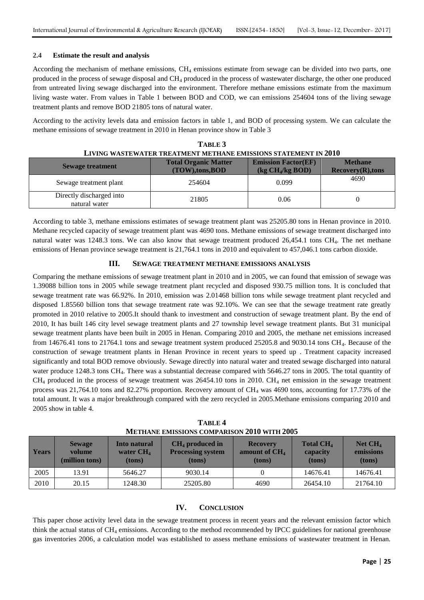# **2.4 Estimate the result and analysis**

According the mechanism of methane emissions,  $CH_4$  emissions estimate from sewage can be divided into two parts, one produced in the process of sewage disposal and CH<sup>4</sup> produced in the process of wastewater discharge, the other one produced from untreated living sewage discharged into the environment. Therefore methane emissions estimate from the maximum living waste water. From values in Table 1 between BOD and COD, we can emissions 254604 tons of the living sewage treatment plants and remove BOD 21805 tons of natural water.

According to the activity levels data and emission factors in table 1, and BOD of processing system. We can calculate the methane emissions of sewage treatment in 2010 in Henan province show in Table 3

| LIVING WASTEWATER TREATMENT METHANE EMISSIONS STATEMENT IN 2010 |                                               |                                                                                   |                                       |  |  |
|-----------------------------------------------------------------|-----------------------------------------------|-----------------------------------------------------------------------------------|---------------------------------------|--|--|
| <b>Sewage treatment</b>                                         | <b>Total Organic Matter</b><br>(TOW),tons,BOD | <b>Emission Factor(EF)</b><br>$\left(\frac{\text{kg CH}_4}{\text{kg BOD}}\right)$ | <b>Methane</b><br>$Recovery(R),$ tons |  |  |
| Sewage treatment plant                                          | 254604                                        | 0.099                                                                             | 4690                                  |  |  |
| Directly discharged into<br>natural water                       | 21805                                         | 0.06                                                                              |                                       |  |  |

| TABLE 3                                                         |
|-----------------------------------------------------------------|
| LIVING WASTEWATER TREATMENT METHANE EMISSIONS STATEMENT IN 2010 |

According to table 3, methane emissions estimates of sewage treatment plant was 25205.80 tons in Henan province in 2010. Methane recycled capacity of sewage treatment plant was 4690 tons. Methane emissions of sewage treatment discharged into natural water was 1248.3 tons. We can also know that sewage treatment produced  $26,454.1$  tons CH<sub>4</sub>. The net methane emissions of Henan province sewage treatment is 21,764.1 tons in 2010 and equivalent to 457,046.1 tons carbon dioxide.

# **III. SEWAGE TREATMENT METHANE EMISSIONS ANALYSIS**

Comparing the methane emissions of sewage treatment plant in 2010 and in 2005, we can found that emission of sewage was 1.39088 billion tons in 2005 while sewage treatment plant recycled and disposed 930.75 million tons. It is concluded that sewage treatment rate was 66.92%. In 2010, emission was 2.01468 billion tons while sewage treatment plant recycled and disposed 1.85560 billion tons that sewage treatment rate was 92.10%. We can see that the sewage treatment rate greatly promoted in 2010 relative to 2005.It should thank to investment and construction of sewage treatment plant. By the end of 2010, It has built 146 city level sewage treatment plants and 27 township level sewage treatment plants. But 31 municipal sewage treatment plants have been built in 2005 in Henan. Comparing 2010 and 2005, the methane net emissions increased from 14676.41 tons to 21764.1 tons and sewage treatment system produced 25205.8 and 9030.14 tons CH<sub>4</sub>. Because of the construction of sewage treatment plants in Henan Province in recent years to speed up . Treatment capacity increased significantly and total BOD remove obviously. Sewage directly into natural water and treated sewage discharged into natural water produce 1248.3 tons CH<sub>4</sub>. There was a substantial decrease compared with 5646.27 tons in 2005. The total quantity of  $CH_4$  produced in the process of sewage treatment was 26454.10 tons in 2010. CH<sub>4</sub> net emission in the sewage treatment process was  $21,764.10$  tons and  $82.27\%$  proportion. Recovery amount of CH<sub>4</sub> was 4690 tons, accounting for 17.73% of the total amount. It was a major breakthrough compared with the zero recycled in 2005.Methane emissions comparing 2010 and 2005 show in table 4.

| $\cdots$     |                                           |                                       |                                                         |                                                        |                                                   |                                    |  |
|--------------|-------------------------------------------|---------------------------------------|---------------------------------------------------------|--------------------------------------------------------|---------------------------------------------------|------------------------------------|--|
| <b>Years</b> | <b>Sewage</b><br>volume<br>(million tons) | Into natural<br>water $CH4$<br>(tons) | $CH4$ produced in<br><b>Processing system</b><br>(tons) | <b>Recovery</b><br>amount of CH <sub>4</sub><br>(tons) | <b>Total CH<sub>4</sub></b><br>capacity<br>(tons) | Net $CH4$<br>emissions<br>$(tons)$ |  |
| 2005         | 13.91                                     | 5646.27                               | 9030.14                                                 |                                                        | 14676.41                                          | 14676.41                           |  |
| 2010         | 20.15                                     | 1248.30                               | 25205.80                                                | 4690                                                   | 26454.10                                          | 21764.10                           |  |

**TABLE 4 METHANE EMISSIONS COMPARISON 2010 WITH 2005**

# **IV. CONCLUSION**

This paper chose activity level data in the sewage treatment process in recent years and the relevant emission factor which think the actual status of CH<sup>4</sup> emissions. According to the method recommended by IPCC guidelines for national greenhouse gas inventories 2006, a calculation model was established to assess methane emissions of wastewater treatment in Henan.